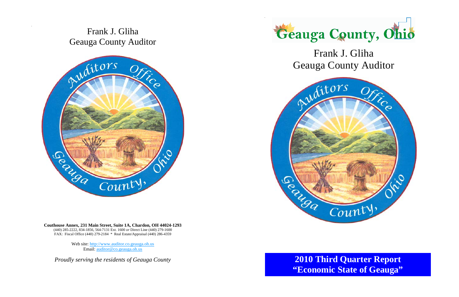## Frank J. Gliha Geauga County Auditor



**Couthouse Annex, 231 Main Street, Suite 1A, Chardon, OH 44024-1293**  (440) 285-2222, 834-1856, 564-7131 Ext. 1600 *or* Direct Line (440) 279-1600 FAX: Fiscal Office (440) 279-2184 \* Real Estate/Appraisal (440) 286-4359

> Web site: http://www.auditor.co.geauga.oh.us Email: auditor@co.geauga.oh.us

*Proudly serving the residents of Geauga County*





## Frank J. Gliha Geauga County Auditor

## **2010 Third Quarter Report "Economic State of Geauga"**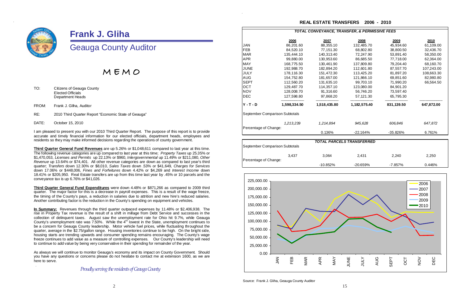*Proudly serving the residents of Geauga County* 

|                                | 2006         | 2007         | 2008                             | 2009       | 2010       |
|--------------------------------|--------------|--------------|----------------------------------|------------|------------|
| JAN                            | 86,201.60    | 88,355.10    | 132,485.70                       | 45,934.60  | 61,109.00  |
| FEB                            | 84,520.10    | 77,151.30    | 68,802.80                        | 38,800.50  | 32,436.70  |
| <b>MAR</b>                     | 135,444.10   | 140,313.40   | 72,247.90                        | 53,891.40  | 58,350.00  |
| APR                            | 99,880.00    | 130,953.60   | 86,685.50                        | 77,718.00  | 62,364.00  |
| MAY                            | 168,775.50   | 130,461.90   | 137,809.80                       | 79,204.40  | 68,160.70  |
| JUNE                           | 192,988.70   | 182,894.20   | 112,601.80                       | 87,557.70  | 107,243.00 |
| JULY                           | 178,116.30   | 151,472.30   | 113,425.20                       | 81,897.20  | 108,663.30 |
| AUG                            | 154,752.80   | 181,657.00   | 121,866.10                       | 69,851.60  | 82,980.80  |
| SEPT                           | 112,560.20   | 131,635.10   | 99,703.10                        | 71,990.20  | 66,564.50  |
| OCT                            | 129,487.70   | 114,357.10   | 123,080.00                       | 84,901.20  |            |
| NOV                            | 128,008.70   | 91,316.60    | 56,746.20                        | 73,597.40  |            |
| DEC                            | 127,598.80   | 97,868.20    | 57,121.30                        | 65,795.30  |            |
| <b>Y-T-D</b>                   | 1,598,334.50 | 1,518,435.80 | 1,182,575.40                     | 831,139.50 | 647,872.00 |
| September Comparison Subtotals |              |              |                                  |            |            |
|                                | 1,213,239    | 1,214,894    | 945,628                          | 606,846    | 647,872    |
| Percentage of Change:          |              |              |                                  |            |            |
|                                |              | 0.136%       | $-22.164%$                       | -35.826%   | 6.761%     |
|                                |              |              |                                  |            |            |
|                                |              |              | <b>TOTAL PARCELS TRANSFERRED</b> |            |            |
| September Comparison Subtotals |              |              |                                  |            |            |
|                                | 3,437        | 3,064        | 2,431                            | 2,240      | 2,250      |
| Percentage of Change:          |              |              |                                  |            |            |
|                                |              | -10.852%     | $-20.659%$                       | $-7.857%$  | 0.446%     |

|                  |                                | <b>TOTAL CONVEYANCE,</b> |
|------------------|--------------------------------|--------------------------|
|                  | 2006                           | 2007                     |
| JAN              | 86,201.60                      | 88,355.10                |
| FEB              | 84,520.10                      | 77,151.30                |
| MAR              | 135,444.10                     | 140,313.40               |
| APR              | 99,880.00                      | 130,953.60               |
| MAY              | 168,775.50                     | 130,461.90               |
| JUNE             | 192,988.70                     | 182,894.20               |
| JULY             | 178,116.30                     | 151,472.30               |
| AUG              | 154,752.80                     | 181,657.00               |
| SEPT             | 112,560.20                     | 131,635.10               |
| ост              | 129,487.70                     | 114,357.10               |
| NOV              | 128,008.70                     | 91,316.60                |
| DEC              | 127,598.80                     | 97,868.20                |
| <b>Y</b> - T - D | 1,598,334.50                   | 1,518,435.80             |
|                  | September Comparison Subtotals |                          |
|                  | 1,213,239                      | 1,214,894                |

Source: Frank J. Gliha, Geauga County Auditor

#### **TRANSFER, & PERMISSIVE FEES**

#### **REAL ESTATE TRANSFERS 2006 - 2010**





## **Frank J. Gliha**

### Geauga County Auditor

M E M O

TO: Citizens of Geauga County Elected Officials Department Heads

FROM: Frank J. Gliha, Auditor

RE: 2010 Third Quarter Report "Economic State of Geauga"

DATE: October 15, 2010

I am pleased to present you with our 2010 Third Quarter Report. The purpose of this report is to provide accurate and timely financial information for our elected officials, department heads, employees and residents so they may make informed decisions regarding the operations of county government.

**Third Quarter General Fund Revenues** are up 5.26% or \$1,048,611 compared to last year at this time. The following revenue categories are up compared to last year at this time; *Property Taxes* up 25.35% or \$1,470,053, *Licenses and Permits* up 22.13% or \$960, *Intergovernmental* up 11.49% or \$211,080, *Other Revenue* up 13.64% or \$74,401. All other revenue categories are down as compared to last year's third quarter; *Transfers* down 12.30% or \$8,010, *Sales Taxes* down .53% or \$41,649*, Charges for Services* down 17.06% or \$448,006, *Fines and Forfeitures* down 4.42% or \$4,269 and *Interest Income* down 18.41% or \$205,950. Real Estate transfers are up from this time last year by .45% or 10 parcels and the conveyance tax is up 6.76% or \$41,026.

**Third Quarter General Fund Expenditures** were down 4.48% or \$871,266 as compared to 2009 third quarter. The major factor for this is a decrease in payroll expenses. This is a result of the wage freeze, the timing of the County's pays, a reduction in salaries due to attrition and new hire's reduced salaries. Another contributing factor is the reduction in the County's spending on equipment and vehicles.

**In Summary:** Revenues through the third quarter outpaced expenses by 11.48% or \$2,406,938. The rise in Property Tax revenue is the result of a shift in millage from Debt Service and successes in the collection of delinquent taxes. August saw the unemployment rate for Ohio hit 9.7%, while Geauga County's unemployment rate was  $7.50\%$ . While the  $4<sup>th</sup>$  lowest in the State, unemployment continues to be a concern for Geauga County leadership. Motor vehicle fuel prices, while fluctuating throughout the quarter, average in the \$2.75/gallon range. Housing inventories continue to be high. On the bright side, housing starts are trending upwards and consumer spending remains encouraging. The County's wage freeze continues to add value as a measure of controlling expenses. Our County's leadership will need to continue to add value by being very conservative in their spending for remainder of the year.

As always we will continue to monitor Geauga's economy and its impact on County Government. Should you have any questions or concerns please do not hesitate to contact me at extension 1600, as we are here to serve.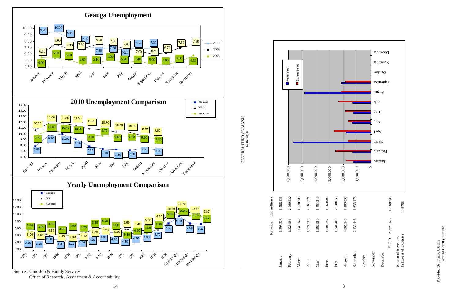Source : Ohio Job & Family Services Office of Research , Assessment & Accountability Provided By: Frank J. Gliha<br>Geauga County Auditor Geauga County Auditor Provided By: Frank J. Gliha

GENERAL FUND ANALYSIS<br>FOR 2010 GENERAL FUND ANALYSIS FOR 2010

|                       |           | Revenues  | Expenditures |           |                                                                           |           |           |
|-----------------------|-----------|-----------|--------------|-----------|---------------------------------------------------------------------------|-----------|-----------|
|                       |           |           |              |           |                                                                           |           |           |
|                       |           |           |              |           |                                                                           |           |           |
|                       |           | 6,000,000 | 5,000,000    |           | 4,000,000                                                                 | 3,000,000 |           |
|                       | 1,788,421 | 2,569,932 | 1,678,286    | 2,661,221 | 1,651,219                                                                 | 1,863,998 | 2,338,056 |
| Revenues Expenditures | 1,293,228 | 1,328,993 | 5,643,142    | 1,774,909 | 1,352,980                                                                 | 1,301,797 | 1,344,408 |
|                       | January   | February  | March        |           | $\begin{aligned} \text{April} \\ \text{May} \\ \text{June} \end{aligned}$ |           | July      |



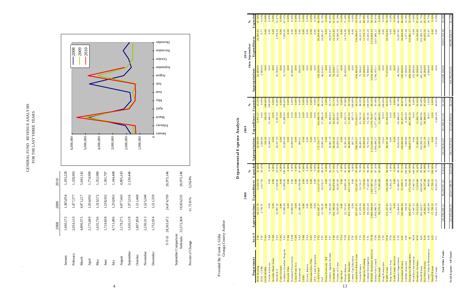| 2010 | 1,293,228 | 1,328,993 | 5,643,142 | 1,774,909 | 1,352,980 | 1,301,797 | 1,344,408 | 4,805,243 | 2,130,446 |           |           |           | 20,975,146 | 20,975,146                        | 5.2624%           |
|------|-----------|-----------|-----------|-----------|-----------|-----------|-----------|-----------|-----------|-----------|-----------|-----------|------------|-----------------------------------|-------------------|
| 2009 | 1,385,054 | 1,477,377 | 4,971,217 | 1,934,092 | 1,319,572 | 1,538,302 | 1,250,963 | 4,077,443 | 1,972,516 | 1,511,468 | 1,525,348 | 1,511,359 | 24,474,709 | 19,926,535                        | $-11.7216%$       |
| 2008 | 1,660,172 | 2,054,110 | 4,806,575 | 2,175,049 | 1,635,736 | 1,724,838 | 4,711,496 | 2,178,275 | 1,626,118 | 1,807,858 | 2,230,313 | 1,752,934 | 28,363,472 | 22,572,368                        |                   |
|      | January   | February  | March     | April     | May       | June      | July      | August    | September | October   | November  | December  | Y-T-D      | September Comparison<br>Subtotals | Percent of Change |

## GENER AL FUND $\;$ REVENUE ANALYSIS $\;$ FOR THE LAST THREE YEARS GENERAL FUND REVENUE ANALYSIS FOR THE LAST THREE YEARS

 $\sim$ 



|                                              |                                      |                                                                     |                                                                               |                                                           |                              |                                                                               |                                                                                                                                                                                                                                                                                                            |                                                                                          |                       |                                                     | Total Expense - All Funds                                             |
|----------------------------------------------|--------------------------------------|---------------------------------------------------------------------|-------------------------------------------------------------------------------|-----------------------------------------------------------|------------------------------|-------------------------------------------------------------------------------|------------------------------------------------------------------------------------------------------------------------------------------------------------------------------------------------------------------------------------------------------------------------------------------------------------|------------------------------------------------------------------------------------------|-----------------------|-----------------------------------------------------|-----------------------------------------------------------------------|
|                                              |                                      |                                                                     |                                                                               |                                                           |                              |                                                                               |                                                                                                                                                                                                                                                                                                            |                                                                                          |                       |                                                     | Total Other Funds                                                     |
| 0.00                                         | 0.00                                 | 0.00                                                                | 49.85                                                                         | ,645.68<br>$\tilde{\mathfrak{c}}$                         | 7,313.68                     | $\ddot{L}$<br>78.                                                             |                                                                                                                                                                                                                                                                                                            | 17,799.32<br>104,211.70                                                                  |                       |                                                     | Youth Center                                                          |
| 10.72%<br>.00<br>$\circ$                     | 1.47<br>32                           | 0.00000<br>$\sim$                                                   | 0.00%<br>1.62                                                                 | 00<br>$\overline{\mathbf{w}}$<br>$\frac{1}{2}$<br>$\circ$ | 00<br>3,049.51<br>$\circ$    | 12.14 %                                                                       |                                                                                                                                                                                                                                                                                                            | 4,042.00                                                                                 |                       | $\begin{array}{c}\n 20 \\  25 \\  25\n \end{array}$ | Fair Police Rotary<br>Central Vehicle M ain tenance<br>Sheriff Rotary |
| 5%<br>93.41<br>65.7                          | 16,106.00<br>323,392.72<br>40,432.56 | $\begin{array}{r} 16,500.00 \\ 491,823.49 \\ 43,284.00 \end{array}$ | 97.43                                                                         | 38,494.0                                                  | 623, 286.10<br>39, 511.20    | $\frac{8}{3}$<br>93.09                                                        |                                                                                                                                                                                                                                                                                                            | 33,612.80<br>59 1, 263.57<br>38,842.95                                                   |                       | X10                                                 | Sheriff Rotary                                                        |
| 97.61%                                       |                                      |                                                                     | 91.92%<br>85.48%                                                              | 15,993.70<br>532,800.96                                   | 17,400.00                    | 42%<br>52.42                                                                  |                                                                                                                                                                                                                                                                                                            |                                                                                          |                       | $\frac{1}{20}$                                      | Domestic Violence                                                     |
| 13.58%<br>0.00%                              | 0.00<br>250,881.17                   | 468,538.30<br>125,000.00                                            | 81.38%<br>0.00%                                                               | 0.00<br>$\omega$<br>405,965.                              | 498, 872.78<br>0.00          | 100.00%<br>83.78%                                                             |                                                                                                                                                                                                                                                                                                            | 17,447.15<br>448,477.81                                                                  |                       | <b>NIN</b><br>$\geq$                                | Emergency Management<br>Workforce Investment                          |
| 46.68                                        | 2,377.28<br>46,684.6                 | 100,000.00<br>17,500.00                                             | 60.71%<br>40.87                                                               | 4,250.00<br>40,871.3                                      | 100,000.00<br>7,000.00       | $00.00\,\%$                                                                   | $\begin{array}{r} \n 106,548.98 \\  \hline\n 5,302.25 \\  \hline\n 47,884.97 \\  \hline\n 97,208,71 \\  \hline\n 17,844.78 \\  \hline\n 17,447,15 \\  \hline\n 17,447,15 \\  \hline\n 17,619,80 \\  \hline\n 36,157,08 \\  \hline\n 36,157,08 \\  \hline\n 17,799,32 \\  \hline\n 82,032.27\n \end{array}$ | 100,000.00<br>534.39                                                                     |                       | U05<br>U01                                          | Unclaimed Money<br>Liability Insurance                                |
| $0.00\%$<br>66.09%                           | $\mathbf 2$<br>32,207.92             | 48,730.81                                                           | 90.74%                                                                        | 50,499.22                                                 | 55,653.04                    | 89.56%<br>97.21%                                                              |                                                                                                                                                                                                                                                                                                            | 53,464.05                                                                                |                       | <b>TTY</b>                                          | Youth Center Services<br>Intensive Supervision                        |
|                                              | 0.00<br>0.00                         | 0.00                                                                | 0.00%<br>0.00%                                                                | $0.00$                                                    | 0.00<br>0.00                 | 0.00%                                                                         |                                                                                                                                                                                                                                                                                                            | 0.00                                                                                     |                       |                                                     | Help America Vote                                                     |
| <b>78.23%</b><br>0.00%<br>0.00%              | 0.00<br>60,764.8                     | 0.00<br>77,670.00                                                   | 00.00%<br>82.81%                                                              | $53.63$<br>$52.44$<br>81,652.                             | 53.63<br>49<br>98,597        | 86 00.0                                                                       |                                                                                                                                                                                                                                                                                                            | 112,237.42<br>5,302.25                                                                   |                       | TTE                                                 | Drug Prosecution<br>DARE Grant                                        |
| 0.00                                         | 0.00                                 | 0.00                                                                | 92.17                                                                         | 15,060.05                                                 | 16,339.88                    | 81.28                                                                         |                                                                                                                                                                                                                                                                                                            | 88,579.13                                                                                |                       | TTP                                                 | US Marshall                                                           |
| 50.25%<br>58.91%                             | 1,516,839.26<br>1,027,486.12         | 1,018,596.64<br>$\frac{1}{2}$                                       | 87.48%<br>94.25                                                               | 2,179,795.87<br>1,577,667.36                              | 2,312,846.10<br>1,803,496.27 | %<br>91.41                                                                    |                                                                                                                                                                                                                                                                                                            | 2,086,944.64<br>1,916,080.75                                                             |                       | <b>TTM</b>                                          | MR/DD Residental Services<br>Family First Council                     |
| 54.44%<br>49.90%                             | 43,503.20<br>11,726.72               | 23,500.00<br>79,908.00                                              | 00.00%<br>64.62%                                                              | 74,765.85<br>33,603.91                                    | 52,000.00<br>74,765.85       | 11.26%<br>96.38%                                                              |                                                                                                                                                                                                                                                                                                            | 24,210.86<br>80,333.20                                                                   |                       | TTK<br>TTL                                          | Criminal In vestigation<br>Emergency Planning                         |
| 63.71%                                       | 46,231.57                            | 72,566.42                                                           | 84.21%<br>88.99%                                                              | $\ddot{5}$<br>61,762                                      | 69, 405.32                   | ೫<br>38<br>$\mathcal{L}$                                                      |                                                                                                                                                                                                                                                                                                            | 67,670.30                                                                                |                       | ΓTJ                                                 | Comm Dev Block Grant<br>Victim/Witness                                |
| 19.95%                                       | 0.00<br>126,586.07                   | 0.00<br>634,405.00                                                  | 100.00%                                                                       | 175,612.57<br>667.1                                       | 667.13<br>208,550.57         | ℅<br>$-48%$<br>98.60                                                          |                                                                                                                                                                                                                                                                                                            | 0.00<br>197,527.01                                                                       |                       | $\overline{\mathrm{E}}$                             |                                                                       |
| $0.00\%$                                     | 0.00                                 | 0.00                                                                | 24.76%                                                                        | 11,391.62                                                 | 46,000.00                    | ೫                                                                             |                                                                                                                                                                                                                                                                                                            | 433,179.00                                                                               |                       | ITE                                                 | MRDD Donation<br>County Cop Education                                 |
| 0.00%<br>71.40%                              | 14,734.98<br>0.00                    | 0.00<br>20,636.00                                                   | 97.88%<br>0.00%                                                               | 0.00<br>21,916.75                                         | 0.00<br>22,391.45            | $\frac{8}{3}$<br>$0.00\,\%$<br>91.82                                          |                                                                                                                                                                                                                                                                                                            | 22,757.63<br>0.00                                                                        |                       | TTA                                                 | Pretrial Release<br>Cops Fast<br>13                                   |
| 31.02%                                       | 23,122.85<br>39,380.34<br>$\sim$     | 74,538.87<br>63, 123.7                                              | 53.71%<br>79.26                                                               | $\frac{36,651.07}{49,820.96}$                             | 68, 236.46<br>62,859.52      | 77.93%<br>67.71%                                                              |                                                                                                                                                                                                                                                                                                            | 103,790.58<br>56,925.00                                                                  |                       | TT8<br>TТ9                                          | Victims of Crime<br>Commissary                                        |
| $\frac{0.00\%}{66.84\%}$                     | 46,079.47                            | 68,939.96                                                           | 56.11%                                                                        | 46,494.04                                                 | 82,861.70                    | ℅<br>$\frac{0.00}{84.23}$                                                     |                                                                                                                                                                                                                                                                                                            | 76,301.60                                                                                |                       | <b>TT6</b>                                          | Prison Diversion / ISP<br>Violence Against Women                      |
|                                              | 0.00<br>24,601.8                     | 46,614.02<br>0.00                                                   | 84.41%<br>0.00                                                                | 0.0<br>$\circ$                                            | 46<br>0.00<br>33,062.        |                                                                               |                                                                                                                                                                                                                                                                                                            | 21,760.29<br>0.00                                                                        |                       | E                                                   | $\ensuremath{\mathsf{IAP}}$                                           |
| 66.83%<br>52.78%<br>0.00                     | 0.00<br>86,364.46                    | 0.00<br>129,236.06                                                  | 0.00<br>90.72                                                                 | 124,949.36<br>27,908.10<br>0.00                           | 0.00<br>137, 724.77          | 93.06%<br>89.97%                                                              | $\begin{array}{ c c c c c } \hline &0.000000&0&0.00000&0&0.0000&0&0.0000&0&0.000&0&0.000&0&0.000&0&0.000&0&0.000&0&0.000&0&0.000&0&0.000&0&0.000&0&0.000&0&0.000&0&0.000&0&0.000&0&0.000&0&0.000&0&0.000&0&0.000&0&0.000&0&0.000&0&0.000&0&$                                                               | 0.00<br>122,647.17                                                                       |                       | TAX<br>TT2                                          | CASA Fund                                                             |
| 0.00%                                        | 0.00                                 | 0.00                                                                | 0.00%                                                                         | 0.00                                                      | 0.00                         |                                                                               |                                                                                                                                                                                                                                                                                                            | 0.00                                                                                     |                       | TAT                                                 | Education Pass Thru<br>EPA - Land Acquisition                         |
| 0.00%<br>0.00                                | 0.00<br>0.00                         | 0.00<br>0.00                                                        | 0.00%<br>0.00                                                                 | 0.00<br>0.00                                              | 0.00<br>0.00                 | $\begin{array}{r} 0.00\,\%\cr 0.00\,\%\cr 0.00\,\%\cr 0.00\,\%\cr\end{array}$ |                                                                                                                                                                                                                                                                                                            | 0.00<br>0.00                                                                             |                       | TAR<br>TAS                                          | Escrow Interest<br><b>LEBG</b>                                        |
| 0.00%                                        | 0.00<br>0.00                         | 0.00<br>500.00                                                      | 0.00%<br>0.00%                                                                | 0.00000                                                   | 0.00<br>806.01               | $\frac{0.00\%}{97.68\%}$                                                      |                                                                                                                                                                                                                                                                                                            | 0.00<br>21,200.00                                                                        |                       | <b>TAN</b><br>$\mathbb{E}$                          | Clean W ater A ct<br>Bicentennial                                     |
| $0.00\%$                                     | 0.000                                | $\begin{array}{c} 0.00 \\ 0.00000 \end{array}$                      | $0.00\%$<br>0.00%                                                             | $\overline{00}$<br>$\circ$                                | 10,000.00                    | $\frac{96000}{0.00000}$                                                       |                                                                                                                                                                                                                                                                                                            | $\begin{array}{r} 0.00 \\ 1.0,000.00 \end{array}$                                        |                       | TAK<br>TAM                                          | Recycle Ohio<br>Farmland Preservation                                 |
|                                              | 7,500.00                             | 15,750.00                                                           |                                                                               | 15,000.00<br>0.00                                         | 0.00<br>15,000.00            | $100.00\%$                                                                    |                                                                                                                                                                                                                                                                                                            | 15,000.00                                                                                |                       | TAJ                                                 | Volunteer Gu ard ian Program                                          |
| 0.00%<br>47.62%                              | 5,794.34<br>0.00                     | 25,784.93<br>0.00                                                   | $\begin{array}{r} 0.00\% \\ 35.88\% \\ 0.00\% \\ \hline 100.00\% \end{array}$ | 9,367.69<br>0.00                                          | 26, 107.50<br>0.00           | 0.00%                                                                         |                                                                                                                                                                                                                                                                                                            | 0.00                                                                                     |                       | $\mathbf{TAF}$<br><b>TAG</b>                        | Court Security<br>Sheriff K-9                                         |
| $\frac{0.00\%}{22.47\%}$                     | 0.00                                 | 0.00                                                                |                                                                               | 0.00                                                      | 0.00                         | $0.00\%$<br>53.01%                                                            | $\begin{array}{c} 0.00 \\ 17,438.46 \end{array}$                                                                                                                                                                                                                                                           | 32,897.24                                                                                |                       | TAD                                                 | Juvenile Block Grant                                                  |
| $\frac{0.00\%}{0.00\%}$                      | 0.000                                | 0.0000                                                              | $100.00\%$<br>100.00%                                                         | 150.30<br>446.52<br>446<br>$\mathcal{L}_{i}$              | 150.30<br>12,446.52          | 0.00%                                                                         | 0.00                                                                                                                                                                                                                                                                                                       | 0.00                                                                                     |                       | TAA<br>TAB                                          | COPS MORE<br>Victim Advocate                                          |
| 0.03%                                        | 383.6<br>$0.7\,$                     | 3,000.00<br>3.00<br><b>Appropriations</b><br>63,483.                | 0.00%<br>$\omega$                                                             | 0.00<br>971<br>6,                                         | 2,500.00<br>ppropriations    | pended<br>32.84%<br>59.22%                                                    | 1,617.03<br>Expenditures<br>$13,204.55$                                                                                                                                                                                                                                                                    | $\begin{array}{c} \textbf{A~propriations} \\ \textbf{40,211.70} \end{array}$<br>2,730.37 |                       | T95<br>$\frac{\text{ct}}{\text{T}^{\text{g}}}$      | Department<br>HUD Housing<br>HUD - CDBG                               |
| ಕ<br>$\mathcal{S}_{\bullet}$<br>$\mathbf{r}$ | Expendi<br>thru September<br>2010    |                                                                     | ರ<br>$\mathcal{S}_0$<br>$\mathbf{r}$                                          | ure<br>2009<br>$\mathbf{r}$                               |                              | $\mathcal{S}_0$<br>$\Gamma$                                                   | 2008                                                                                                                                                                                                                                                                                                       |                                                                                          | #                     |                                                     |                                                                       |
|                                              |                                      |                                                                     |                                                                               | Analysis                                                  | Expense<br>epartmental       | $\blacksquare$                                                                |                                                                                                                                                                                                                                                                                                            |                                                                                          |                       |                                                     |                                                                       |
|                                              |                                      |                                                                     |                                                                               |                                                           |                              |                                                                               |                                                                                                                                                                                                                                                                                                            |                                                                                          | Geauga County Auditor |                                                     | Provided By: Frank J. Gliha                                           |
|                                              |                                      |                                                                     |                                                                               |                                                           |                              |                                                                               | 4%<br>5.262                                                                                                                                                                                                                                                                                                | $-11.7216%$                                                                              |                       |                                                     | Percent of Change                                                     |
|                                              |                                      |                                                                     |                                                                               |                                                           |                              | 5,146                                                                         | $\overline{ }$<br>20,9                                                                                                                                                                                                                                                                                     | 19,926,535                                                                               | 22,572,368            | Subtotals                                           | September Comparison                                                  |
|                                              | December<br>Jovember                 | September                                                           |                                                                               |                                                           |                              | 175,146                                                                       | 20,9                                                                                                                                                                                                                                                                                                       | 24,474,709                                                                               | 28,363,472            | $Y-T-D$                                             |                                                                       |
|                                              | October                              | ารถฮก∀<br>չնա<br>əunr                                               | ys V<br>InqA                                                                  | цэлем<br>amuqa A<br><i><b>A</b>xenue</i>                  | $\circ$                      |                                                                               |                                                                                                                                                                                                                                                                                                            | 1,511,359                                                                                | 1,752,934             |                                                     | December                                                              |
|                                              |                                      |                                                                     |                                                                               |                                                           |                              |                                                                               |                                                                                                                                                                                                                                                                                                            | 1,525,348                                                                                | 2,230,313             |                                                     | November                                                              |
|                                              |                                      |                                                                     |                                                                               |                                                           | 1,000,000                    |                                                                               |                                                                                                                                                                                                                                                                                                            | 1,511,468                                                                                | 1,807,858             |                                                     | October                                                               |
|                                              |                                      |                                                                     |                                                                               |                                                           | 2,000,000                    | 30,446                                                                        | 2,1                                                                                                                                                                                                                                                                                                        | 1,972,516                                                                                | 1,626,118             |                                                     | September                                                             |
|                                              |                                      |                                                                     |                                                                               |                                                           |                              | 805,243                                                                       | 4,8                                                                                                                                                                                                                                                                                                        | 4,077,443                                                                                | 2,178,275             |                                                     | August                                                                |
|                                              |                                      |                                                                     |                                                                               |                                                           |                              |                                                                               | ر<br>1                                                                                                                                                                                                                                                                                                     | 1,200,903                                                                                | 064, 11, 14, 0        |                                                     | Ì                                                                     |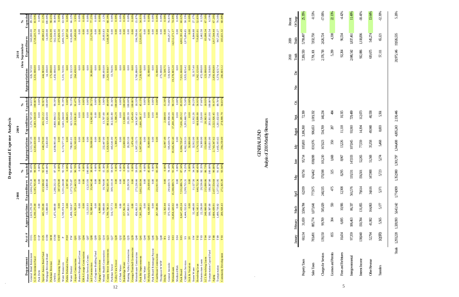12

5

Analysis of 2010 Monthly Revenues Analysis of 2010 Monthly Revenues **GNBALRAD** GENERAL FUND

 $\mathcal{A}^{\mathcal{A}}$ 

| <b>Hnes and Forfeitures</b> | 10,434  | 6,665   | 10,906          | 12,308  | 8295    | 8967    | 13,226  | 11,118 | 10,315  | 92,264    | 96,54     | 4.42%     |
|-----------------------------|---------|---------|-----------------|---------|---------|---------|---------|--------|---------|-----------|-----------|-----------|
| <b>negovernmental</b>       | 97359   | 106,463 | 86,337          | 561,576 | 19331   | 147,033 | 107,045 | 93,910 | 729,489 | 2,048,542 | 1,837,461 | 11.49%    |
| nterest Income              | 138,040 | 150,784 | 131,855         | 79,614  | 56,501  | 52265   | 77,559  | 14,194 | 112,073 | 912,886   | 1,118,836 | $-18.41%$ |
| <b>Ther Revenue</b>         | 52,794  | 41,982  | 164,863         | 34,616  | 147,988 | 51,568  | 35,358  | 49,948 | 40,558  | 69,675    | 545,274   | 13.64%    |
| Tansfers                    | 10970   |         | $5,565$ $5,177$ | 5371    | 5723    | 5274    | 5468    | 8,003  | 5,561   | 57,111    | 65,121    | $-12.30%$ |
|                             |         |         |                 |         |         |         |         |        |         |           |           |           |

Totals 1,293,228 1,328,993 5,643,142 1,744,909 1,352,980 1,301,797 1,344,408 4,805,243 2,130,446 21,0946 20,975,146 19,926,535 5.26%

Totals 1,293,228 1,328,993 5,643,142 1,774,909 1,352,980 1,301,797 1,344,408 4,805,243 2,130,446

5.26%

20,975,146 19,926,535

| יי ה<br>١                   |
|-----------------------------|
| $5 - 2$<br>$\sim$<br>1<br>ŕ |
| i<br>ł<br>ì                 |
|                             |

 $\sim$   $\sim$ 

|                                       |                                 |                                 | 2008                         |                    |                                | 2009                         |                    |                              | 2010                               |                                |
|---------------------------------------|---------------------------------|---------------------------------|------------------------------|--------------------|--------------------------------|------------------------------|--------------------|------------------------------|------------------------------------|--------------------------------|
|                                       | A cct #                         |                                 |                              | ళ                  |                                |                              | న్                 |                              | thru September                     | ℅                              |
| General Bond Retirement<br>Department | O <sub>1</sub> C                | 2,619,270.30<br>A ppropriations | 2,604,270.30<br>Expenditures | Expended<br>99.43% | 2,511,747.39<br>Appropriations | 1,376,747.39<br>Expenditures | Expended<br>54.81% | 626,747.00<br>Appropriations | 560,000.00<br>${\rm Expenditures}$ | $\mathbb{E}$ xpended<br>89.35% |
| G.O. Retirement Fund                  | <b>NIQ</b>                      | 6,190,275.00                    | 6,185,765.00                 | 99.93%             | 4,583,410.00                   | 4,583,318.68                 | 00.00%             | 3,331,000.00                 | 2,728,225.74                       | 81.90%                         |
| Park Debt                             | $\frac{1}{2}$                   | 0.00                            | 0.00                         | 0.00%              | 0.00                           | 0.00                         | 0.00%              | 0.00                         | 0.00                               | 0.00%                          |
| Special Assess Bond Fund              | 02S                             | 445,335.00                      | 413,586.62                   | 92.87%             | 448,278.00                     | 416,531.22                   | 92.92%             | 444,983.00                   | 49,905.63                          | 11.22%                         |
| Mortgage Revenue Bond                 | <b>D3M</b>                      | 13,800.00                       | 13,800.00                    | 00.00%             | 13,450.00                      | 13,450.00                    | 00.00%             | 14,100.00                    | 14,100.00                          | 100.00%                        |
| Parkman Revenue                       | <b>MM</b>                       |                                 |                              |                    |                                |                              |                    | 175,000.00                   | 172,636.99                         | 98.65%                         |
| <b>OWDA</b>                           | <b>NSO</b>                      | 1,475,000.00                    | 1,288,232.13                 | 87.34%             | 4,898,993.48                   | 4,868,904.52                 | 99.39%             | 1,450,000.00                 | 562,534.95                         | 38.80%                         |
| Ohio Housing Trust                    | <b>CHT</b>                      | 0.00                            | 387,678.00                   | 0.00%              | 0.00                           | 390, 223.00                  | 0.00%              | 0.00                         | 275,826.50                         | 0.00%                          |
| Water Resources                       | $\mathbf{r}$                    | 5,749,074.14                    | 5,331,244.08                 | 92.73%             | 6,174,577.19                   | 5,643,244.60                 | 91.39%             | 5,331,743.96                 | 3,406,723.75                       | 63.90%                         |
| Public Defender Fees                  | PDF                             | 0.00                            | 2,397.95                     | 0.00%              | 0.00                           | 4,006.05                     | 0.00%              | 0.00                         | 1,837.50                           | 0.00%                          |
| Water District                        | Ř                               | 1,498,318.67                    | 1,373,735.87                 | 91.69%             | 798,001.01                     | 623,513.48                   | 78.13%             | 931, 322.59                  | 616,696.90                         | 66.22%                         |
| Airport Construction                  | $\overline{Q}$                  | 413,583.24                      | 375, 443.55                  | 90.78%             | 321,363.69                     | 293,936.81                   | 91.47%             | 264,439.00                   | 10,450.00                          | 3.95%                          |
| Burton Heights Road Const             | $\frac{2}{3}$                   | 0.00                            | 0.0                          | 0.00%              | 0.00                           | 0.00                         | 0.00%              | 0.00                         | 0.00                               | 0.00%                          |
| <b>EMA Garage Construction</b>        | QQ4                             | 0.00                            | $\sum_{i=1}^{n}$             | 0.00%              | 0.00                           | 0.00                         | 0.00%              | 0.00                         | 0.00                               | 0.00%                          |
| Human Services Constr.                | 200                             | 13,213.93                       | 13,213.9                     | 100.00%            | 0.00                           | 0.00                         | 0.00%              | 0.00                         | 0.00                               | 0.00%                          |
| Jail Construction                     | $Q$ 08                          | 92,980.44                       | 35,942.48                    | 38.66%             | 59,000.00                      | 16,942.00                    | 28.72%             | 30,000.00                    | 23,176.00                          | 77.25%                         |
| Co Engineer Building Fund             | $\frac{8}{2}$                   | 0.00                            | 0.0(                         | 0.00%              | 0.00                           | 0.00                         | 0.00%              | 0.00                         | 0.00                               | 0.00%                          |
| Aging Construction                    | Q <sub>13</sub>                 | 4,000.00                        | 0.00                         | 0.00%              | 0.00                           | 0.00                         | 0.00%              | 0.00                         | 0.00                               | 0.00%                          |
| Mental Health Construction            | Q14                             | 70,000.00                       | 10,764.0                     | 15.38%             | 232,447.00                     | 13,707.00                    | 5.90%              | 988,693.00                   | 20,953.83                          | 2.12%                          |
| County Sewer Improvements             | Q23                             | 1,789,746.31                    | 962, 505.19                  | 53.78%             | 1,820,929.44                   | 893,921.96                   | 49.09%             | 2,263,918.07                 | 1,548,367.44                       | 68.39%                         |
| Parkman Sewer                         | Q27                             | 516,727.73                      | 309, 110.19                  | 59.82%             | 445,641.00                     | 362,565.80                   | 81.36%             | 13,766.96                    | 0.00                               | 0.00%                          |
| Valley View Sewer                     | Q28                             | 0.00                            | 0.00                         | 0.00%              | 1,308.29                       | 1,308.29                     | 100.00%            | 0.00                         | 0.00                               | 0.00%                          |
| CF Park Water                         | Q32                             | 0.00                            | 0.00                         | 0.00%              | 0.00                           | 0.00                         | 0.00%              | 0.00                         | 0.00                               | 0.00%                          |
| Bainbridge Water                      | Q <sub>34</sub>                 | 157,961.36                      | 0.00                         | 0.00%              | 13,000.00                      | 13,000.00                    | 100.00%            | 0.00                         | 0.00                               | 0.00%                          |
| Hunting Valley Construction           | Q <sub>35</sub>                 | 167,863.91                      | 20, 293.59                   | 12.09%             | 20,293.59                      | 20,293.59                    | 100.00%            | 0.00                         | 0.00                               | 0.00%                          |
| Geaug a/Trumbull Construction         | Q39                             | 0.00                            | 0.00                         | 0.00%              | 1,476.49                       | 1,476.49                     | 100.00%            | 0.00                         | 0.00                               | 0.00%                          |
| Metzenbaum Construction               | $\frac{1}{2}$                   | 456,661.33                      | 273,236.6                    | 59.83%             | 1,907,153.75                   | 349,547.63                   | 18.33%             | 3,760,886.09                 | 596,798.06                         | 15.87%                         |
| Park Bd Improvements                  | $\overline{Q}$                  | 7,305,299.21                    | 3,662,160.9                  | 50.13%             | 5,907,944.06                   | 2,666,280.17                 | 45.13%             | 7,239,029.00                 | 2,520,035.76                       | 34.81%                         |
| County Water                          | $\mathfrak{F}$                  | 0.00                            | $\frac{8}{10}$               | 0.00%              | 0.00                           | 0.00                         | 0.00%              | 0.00                         | 0.00                               | 0.00%                          |
| McFarland Sewer                       | Q45                             | 64,438.65                       | 29,438.6                     | 45.68%             | 35,000.00                      | 0.00                         | 0.00%              | 35,000.00                    | 0.00                               | 0.00%                          |
| Park Board Retainage Payout           | 646                             | 0.00                            | 0.00                         | 0.00%              | 0.00                           | 0.00                         | 0.00%              | 0.00                         | 0.00                               | 0.00%                          |
| Courthouse Construction               | Q47                             | 267,340.86                      | 222,911.93                   | 83.38%             | 0.00                           | 0.00                         | 0.00%              | 15,000.00                    | 0.00                               | 0.00%                          |
| Thompson W WTP                        | Q48                             |                                 |                              |                    |                                |                              |                    | 275,000.00                   | 0.00                               | 0.00%                          |
| Ditchs                                | $\mathbf{R}^{\prime}\mathbf{s}$ | 12,363.44                       | 0.00                         | 0.00%              | 12,997.49                      | 2,000,00                     | 15.39%             | 11,549.75                    | 0.00                               | 0.00%                          |
| General Juvenile                      | S <sub>02</sub>                 | 375, 191.65                     | 293,020.72                   | 78.10%             | 595,639.79                     | 439,958.36                   | 73.86%             | 519,820.97                   | 399,257.27                         | 76.81%                         |
| Metzenbaum                            | S <sub>03</sub>                 | 16,858,420.02                   | 15,388,089.7                 | 91.28%             | 19,045,362.40                  | 17,200,209.40                | 90.31%             | 19,378,865.20                | 14,512,171.17                      | 74.89%                         |
| Medicaid Risk                         | S <sub>04</sub>                 | 0.00                            | 0.00                         | 0.00%              | 0.00                           | 0.00                         | 0.00%              | 0.00                         | 0.00                               | 0.00%                          |
| Park Board                            | S <sub>0</sub> S                | 8,647,419.24                    | 7,552,886.74                 | 87.34%             | 8,884,728.47                   | 7,636,285.52                 | 85.95%             | 7,921,660.68                 | 4,802,391.49                       | 60.62%                         |
| Children's Services                   | $\mathbf{S} \mathbf{S}$         | 4,444,152.65                    | 3,299,755.3                  | 74.25%             | 4,362,318.55                   | 3,293,660.79                 | 75.50%             | 3,925,825.42                 | 1,975,894.85                       | 50.33%                         |
| Sick & Vacation                       | $\rm{S}$                        | 0.00                            | 0.00                         | 0.00%              | 50,000.00                      | 0.00                         | 0.00%              | 0.00                         | 0.00                               | 0.00%                          |
| Storm Water                           | S <sub>N</sub>                  | 32,446.00                       | 11, 127.56                   | 34.30%             | 32,912.00                      | 12,912.26                    | 39.23%             | 32, 317.40                   | 8,844.88                           | 27.37%                         |
| Revolving Loan                        | TO <sub>2</sub>                 | 936, 145.11                     | 640,752.36                   | 68.45%             | 1,174,552.00                   | 668,899.00                   | 56.95%             | 1,362,125.00                 | 719,835.01                         | 52.85%                         |
| Infrastructure Loans                  | T03                             | 22,236.00                       | 20,536.00                    | 92.35%             | 14,300.00                      | 2,526.00                     | 17.66%             | 472,000.00                   | 2,462.50                           | 0.52%                          |
| LCL Revolving Loans                   | T <sub>04</sub>                 | 248,000.00                      | 215,090.06                   | 86.73%             | 153,000.00                     | 28,963.91                    | 18.93%             | 123,000.00                   | 83,098.34                          | 67.56%                         |
| Transportation Capital Fund           | T82                             | 180,387.00                      | 180,387.00                   | 00.00%             | 203,811.00                     | 203,811.00                   | 100.00%            | 714,318.86                   | 47,102.54                          | 6.59%                          |
| Aging                                 | $_{\rm T88}$                    | 2,684,439.91                    | 2,437,554.6                  | 90.80%             | 2,743,347.62                   | 2,522,926.45                 | 91.97%             | 2,850,836.80                 | 1,917,544.44                       | 67.26%                         |
| Transportation                        | T89                             | 1,499,719.92                    | 1,377,812.9                  | 91.87%             | 1,405,193.65                   | 1,261,632.00                 | 89.78%             | 1,374,623.74                 | 967,230.27                         | 70.36%                         |
| Community Development                 | T93                             | 289,928.43                      | 272,365.39                   | 93.94%             | 294,259.89                     | 278,999.79                   | 94.81%             | 266,603.12                   | 183,631.32                         | 68.88%                         |
|                                       |                                 |                                 |                              |                    |                                |                              |                    |                              |                                    |                                |

#### 25.35%  $-0.53%$  $-17.06%$  $2.13%$ Property Taxes 60,134 31,659 3,584,784 62,939 69,756 95,714 105,803 3,186,360 72,399 7,269,550 5,799,497 25.35% Sales Taxes 783,491 885,774 1,073,641 777,675 674,462 838,098 831,976 906,653 1,019,332 7,019,791,101 7,832,750 Charges for Services 139,150 99,769 59,769 59,769 101,623 525,029 101,623 525,029 170,335 534,769 2,178,718 2,030 534,769 17.09% 534,769 17.09% 534,769 17.09% 534,769 17.09% 534,769 17.09% 534,724 17.09% 534,724 17.09% 534 Licenses and Permits 855 304 550 475 325 1,668 350 287 484 5,299 4,338 22.13% **CfChange** Percent declor wavel. Also Did and the tast of the september of the september of the change of the change of the change of the change of the change of change of change of change of the change of the change of the change of change 2010 2009 Percent 5,799,497 7,832,750 2,626,724 4,338  $2009$  Totals  $7,269,550$  $7,\!91,\!101$  $2.178,718$ 5,299  $2010$  Totals  $p_{\rm g}$  $\check{\mathbf{z}}$  $\alpha$ 140,234 72,399  $rac{4}{3}$ 906,653 1,019,332 Spt. 105,803 3,186,360 534,769  $\otimes$ August 81,976  $167,623$ 350  $\ensuremath{\mathrm{Ju}\mathrm{Jy}}$ 95,714 838,098 101,210  $1,668$  $\text{J}\text{u}\text{n}$ 69,756 674.462 170,598  $325$ May 240,335 62939  $77,675$ 475 April 3,584,784 1,073,641 585,029  $50$ Janary Febuary March  $31,659$ 885,774 99,769  $\mathfrak{B}$  $6,134$ 783,491 139,150 85 Licenses and Pennits Charges for Services Property Taxes Sales Taxes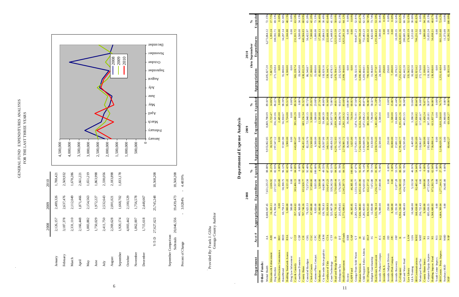|                                   | 2008         | 2009       | 2010                    |  |
|-----------------------------------|--------------|------------|-------------------------|--|
| January                           | 2,126,157    | 2,489,326  | 1,788,421               |  |
| February                          | 3,187,378    | 2,637,476  | 2,569,932               |  |
| March                             | 2,331,110    | 2,112,049  | 1,678,286               |  |
| April                             | 2,166,448    | 1,871,466  | 2,661,221               |  |
| May                               | 1,883,882    | 2,154,563  | 1,651,219               |  |
| June                              | 1,750,029    | 1,972,227  | 1,863,998               |  |
| July                              | 2,411,750    | 2,532,643  | 2,338,056               |  |
| August                            | 2,269,628    | 2,001,021  | 2,183,898               |  |
| September                         | 1,920,174    | 1,668,702  | 1,833,178               |  |
| October                           | 4,003,442    | 2,100,529  |                         |  |
| November                          | 1,862,007    | 1,756,578  |                         |  |
| December                          | 1,715,618    | 2,448,667  |                         |  |
| Y-T-D                             | 27,627,623   | 25,745,248 | 18,568,208              |  |
| September Comparison<br>Subtotals | 20,046,556   | 19,439,473 | 18,568,208              |  |
| Percent of Change                 | $\mathbf{I}$ | 3.0284%    | 4.4819%<br>$\mathbf{I}$ |  |

| <b>ANALYSIS</b><br>EXPENDITURES A | AST THREE YEARS |
|-----------------------------------|-----------------|
| FUNT<br>ENERAL F                  | FOR THE LA      |

 $\sim$ 



| 6  |                                                                            |                                            |                        |                                        |                                                                                                                                                                                                                                                                                                   |                            |                                          |                                                 |                             |              |                                             |                   |                                |                              |                                |
|----|----------------------------------------------------------------------------|--------------------------------------------|------------------------|----------------------------------------|---------------------------------------------------------------------------------------------------------------------------------------------------------------------------------------------------------------------------------------------------------------------------------------------------|----------------------------|------------------------------------------|-------------------------------------------------|-----------------------------|--------------|---------------------------------------------|-------------------|--------------------------------|------------------------------|--------------------------------|
|    | September                                                                  |                                            | 1,920,174              | 1,668,702                              | 1,833,178                                                                                                                                                                                                                                                                                         |                            | 1,500,000                                |                                                 |                             |              |                                             | 2009              |                                |                              |                                |
|    | October                                                                    |                                            | 4,003,442              | 2,100,529                              |                                                                                                                                                                                                                                                                                                   |                            | 1,000,000                                |                                                 |                             |              |                                             | 2010              |                                |                              |                                |
|    |                                                                            |                                            |                        |                                        |                                                                                                                                                                                                                                                                                                   |                            |                                          |                                                 |                             |              |                                             |                   |                                |                              |                                |
|    | November                                                                   |                                            | 1,862,007              | 1,756,578                              |                                                                                                                                                                                                                                                                                                   |                            | 500,000                                  |                                                 |                             |              |                                             |                   |                                |                              |                                |
|    | December                                                                   |                                            | 1,715,618              | 2,448,667                              |                                                                                                                                                                                                                                                                                                   |                            | $\circ$                                  |                                                 |                             |              |                                             |                   |                                |                              |                                |
|    |                                                                            | $Y-T-D$                                    | 27,627,623             | 25,745,248                             | 18,568,208                                                                                                                                                                                                                                                                                        |                            | A.ren ue p                               | $\lim_{\Delta} \mathbf{A}$<br>цэлеМ<br>Heptuary | əunr<br>yay                 | $\Lambda$ [n | September<br>ารท $\mathcal S$ ท $\mathsf V$ | October           | November                       | December                     |                                |
|    | September Comparison                                                       | Subtotals                                  | 20,046,556             | 19,439,473                             | 18,568,208                                                                                                                                                                                                                                                                                        |                            |                                          |                                                 |                             |              |                                             |                   |                                |                              |                                |
|    | Percent of Change                                                          |                                            |                        | 3.0284%                                | 4.48<br>$\mathbf{I}$                                                                                                                                                                                                                                                                              | 19%                        |                                          |                                                 |                             |              |                                             |                   |                                |                              |                                |
|    |                                                                            |                                            |                        |                                        |                                                                                                                                                                                                                                                                                                   |                            |                                          |                                                 |                             |              |                                             |                   |                                |                              |                                |
|    | Provided By: Frank J. Gliha                                                |                                            |                        |                                        |                                                                                                                                                                                                                                                                                                   |                            |                                          |                                                 |                             |              |                                             |                   |                                |                              |                                |
|    |                                                                            |                                            | Geauga County Auditor  |                                        |                                                                                                                                                                                                                                                                                                   |                            |                                          |                                                 |                             |              |                                             |                   |                                |                              |                                |
|    |                                                                            |                                            |                        |                                        |                                                                                                                                                                                                                                                                                                   |                            |                                          |                                                 |                             |              |                                             |                   |                                |                              |                                |
|    |                                                                            |                                            |                        |                                        |                                                                                                                                                                                                                                                                                                   |                            | Departmental Expense                     | Analysis                                        |                             |              |                                             |                   |                                |                              |                                |
|    |                                                                            |                                            |                        |                                        | 2008                                                                                                                                                                                                                                                                                              |                            |                                          | 2009                                            |                             |              |                                             |                   | 2010                           |                              |                                |
|    | Department                                                                 | Acct #                                     | <b>A</b> ppropriations |                                        | Expenditures                                                                                                                                                                                                                                                                                      | Expended<br>℅              | <b>Appropriations</b>                    | Expenditures                                    | Expended<br>$\mathcal{S}_0$ |              | Appropriations                              |                   | Expenditures<br>thru September |                              | ${\rm Expend}$<br>ళ            |
|    | Other Funds:                                                               |                                            |                        |                                        |                                                                                                                                                                                                                                                                                                   |                            |                                          |                                                 |                             |              |                                             |                   |                                |                              |                                |
|    | Education & Enforcement<br>Mental Health                                   | <b>AEE</b><br>$\forall$                    |                        | 8,608,047.45<br>16,263.11              | $\begin{array}{r} \n7.651,235.57 \\ 22,636.92 \\ 227,557.51 \\ 363,838.75 \\ 363,838.75 \\ 4,121.22 \\ 5633,928.77 \\ 653,928.77 \\ 73,573.50 \\ 64,801.39 \\ 57,000,00 \\ 57,000,00 \\ 57,000,00 \\ 57,000,00 \\ 64,801.38 \\ 308,242.23 \\ 503,449.77 \\ 64,801.38 \\ 328,242.597.73 \\ 21,245$ | 16.21%<br>82.93%<br>88.88% | 9,955,062.85<br>18,319.76<br>297,547.12  | 8,869,798.09                                    | 89.10%                      |              | 8,695,827.20                                |                   |                                | 6,273,864.12                 | 72.15%<br>17.71%               |
|    | Dog Warden                                                                 | BEC<br>$\mathbf{m}$                        |                        | 0.00<br>274,394.54                     |                                                                                                                                                                                                                                                                                                   | 0.00%                      | 0.00                                     | 2,722.47<br>485.00                              | 0.00%<br>14.86%<br>86.22%   |              | 7,867.29<br>271,220.84                      | 0.00              |                                | 390.00<br>1,393.24           | 0.00%<br>$\circ$               |
|    | Ohio Elections Commission<br>HotelMotel                                    | <b>BED</b>                                 |                        | 60,759.13                              |                                                                                                                                                                                                                                                                                                   | 96.12%                     | 57,841.90                                | 56,910.67                                       | 98.39%                      |              | 55,000.00                                   |                   |                                | 34,297.14                    | 62.36%                         |
|    | <b>Building Standards Assess</b>                                           | <b>BSA</b>                                 |                        | 5,000.00                               |                                                                                                                                                                                                                                                                                                   | 82.42%                     | 3,900.00                                 | 3,724.88                                        | 95.51%                      |              | 4,500.00                                    |                   |                                | 2,166.88                     | 0.00%<br>48.15%                |
|    | Drug Law Inforcement<br>& Custody<br>Care                                  | CCF<br>$\cup$                              |                        | 500.00<br>357,414.63                   |                                                                                                                                                                                                                                                                                                   | $0.00\%$<br>84.89%         | 0.00<br>443,803.47                       | 0.00<br>395,690.29                              | 0.00%<br>89.16%             |              | 365,228.74                                  | 0.00              |                                | 0.00<br>$\sim$<br>231,931.72 | 63.50%                         |
|    | Courthouse Donation<br>County Home                                         | $\overline{5}$<br>$\overline{\mathbb{S}}$  |                        | 707,746.16<br>445,368.09               |                                                                                                                                                                                                                                                                                                   | 0.00%                      | 0.00<br>746,451.45                       | 0.00<br>683, 156.34                             | 0.00%<br>91.52%             |              | 19,045.00<br>638, 632.29                    |                   |                                | 6,500.00<br>440,584.03       | 34.13%<br>68.99%               |
|    | Concealed Handgun                                                          | <b>Ell</b>                                 |                        | 79,625.53                              |                                                                                                                                                                                                                                                                                                   | 92.40%<br>92.40%           | 82,218.70                                | 72,948.15                                       | 88.72%                      |              | 86,540.87                                   |                   |                                | 56,422.97                    | 65.20%                         |
|    | Common Pleas Comput.<br>Clerk of Courts                                    | CLC<br>CPC                                 |                        | 67,000.00<br>9,835.00                  |                                                                                                                                                                                                                                                                                                   | $100.00\%$<br>85.07%       | 13,500.00<br>6,500.00                    | 3,500.00<br>1,500.00                            | <b>25.93%</b><br>23.08%     |              | 17,300.00<br>15,000.00                      |                   |                                | 7,300.00<br>11,000.00        | 73.33%<br>$20\%$<br>$\ddot{a}$ |
|    | Mediation                                                                  | CPM                                        |                        | 35,000.00                              |                                                                                                                                                                                                                                                                                                   | 4.29%                      | 45,410.00                                | 595.08<br>12,                                   | 27.74%                      |              | 45,000.00                                   |                   |                                | 17,306.13                    | $-46%$<br>38                   |
|    | Cty Recorder Micrographics<br>Certificate of Title                         | CRM<br><b>CTA</b>                          |                        | 130,781.83<br>355,939.93<br>525,067.59 |                                                                                                                                                                                                                                                                                                   | 49.55%<br>87.23%<br>62.51% | 126,937.06<br>349,511.56                 | 59,400.39<br>321,205.68                         | 46.80%<br>91.90%<br>72.00%  |              | 118,029.16<br>339, 144.71                   |                   |                                | 35,884.53<br>222,608.35      | 30.40%<br>65.64%               |
|    | Road and Bridge Fund<br>Court Technology                                   | CTF<br>$\Box$                              |                        |                                        |                                                                                                                                                                                                                                                                                                   |                            | 480, 456.52                              | 345, 937.79<br>2,059,206.39                     | 49.01%                      |              | 416,678.15                                  |                   |                                | 171,448.93                   | 41.15%<br>58.60%               |
|    | Delinquent Tax                                                             | $\overline{\mathsf{D}}$                    |                        | 4,421,710.11<br>215,878.65             |                                                                                                                                                                                                                                                                                                   | 84.82%                     | 4,201,722.83<br>175,142.35               | 164,298.70                                      | 93.81%                      |              | 5,670,504.17<br>215,525.96                  |                   |                                | 3,323,013.59<br>131,974.72   | 61.23%                         |
| 11 | <b>Health Department</b><br>Escrow                                         | all fund s<br>$_{\rm ERB}$                 |                        | 2,773,696.01                           |                                                                                                                                                                                                                                                                                                   | 84.55                      | 36,046.43<br>$\mathbf{a}$<br>2,758,981.7 | 36,046.43<br>2,292,119.32                       | 100.00%<br>83.08%           |              | ,999,304.60<br>$\overline{N}$               | 0.00              |                                | 0.00<br>,923,201.10          | 0.00%<br>64.129                |
|    | GAPP Fund                                                                  | GAP                                        |                        | 46,305.95                              |                                                                                                                                                                                                                                                                                                   | 100.00%                    | 1,025.00                                 | 716.94                                          | 69.95%                      |              |                                             | 0.00              |                                | 0.00                         | 0.00%                          |
|    | Geaug a/Trum Solid Waste<br>Human Services                                 | $5\overline{)}$<br>$\overline{\mathbb{H}}$ |                        | 2,265,529.03<br>7,636,388.83           |                                                                                                                                                                                                                                                                                                   | ∝<br>91.05%<br>67.67       | 2,775,051.10<br>7,262,508.09             | 1,874,751.91<br>6,554,768.7                     | 67.56%<br>90.25%            |              | 1,789,322.16                                |                   |                                | 944,877.23<br>3,987,709.28   | 52.81%<br>65.479               |
|    | Child Support Enforc. A dmin.                                              | $\Xi$                                      |                        | 1,282,663.03                           |                                                                                                                                                                                                                                                                                                   | 76.14%                     | 1,193,849.39                             | 1,072,936.22                                    | 89.87%                      |              | $6,090,482.15$<br>1,203,604.01              |                   |                                | 752,463.23                   | 62.52%                         |
|    | Indigent Guardianship<br>911 Program                                       | $\operatorname{HLP}$<br>$\Xi$              |                        | 834,915.03<br>12,850.00                | $\begin{array}{r} \textbf{46,305.95} \\ \textbf{1,533,116.77} \\ \textbf{6,953,181.90} \\ \textbf{97,6,33.81} \\ \textbf{533,73.22} \\ \textbf{6,92,377.32} \\ \textbf{7,672.80} \\ \textbf{1,256,117.54} \\ \textbf{1,256,117.54} \end{array}$                                                   | 78.14%<br>59.71%           | 13,350.00<br>836,047.33                  | 803,268.15<br>7,786.00                          | 58.32%<br>96.08%            |              | 799,033.89<br>11,964.00                     |                   |                                | 469,681.32<br>8,822.00       | 73.74%<br>58.789               |
|    | Real Estate Assessment<br>Juvenile Probate Comput.                         |                                            |                        | 1,533,780.14<br>76,000.00              |                                                                                                                                                                                                                                                                                                   | 81.90%<br>75.00%           | 2,050,574.43<br>22,500.00                | 461,685.72<br>3,500.00                          | 71.28%<br>15.56%            |              | 2,226,377.87<br>24,300.00                   |                   |                                | 1,191,064.63                 | 53.50%<br>30.04%               |
|    | Juvenile I & A                                                             | $_{\rm JC}$<br>$\mathbb H$                 |                        |                                        |                                                                                                                                                                                                                                                                                                   |                            |                                          |                                                 |                             |              | 250.00                                      |                   |                                | 0.00                         | 0.00%                          |
|    | Juvenile Indigent Drivers                                                  | $\mathbf{R}$                               |                        | 250.00                                 | 0.00                                                                                                                                                                                                                                                                                              | 0.00%                      | 250.00                                   | 0.00                                            | 0.00%                       |              | 250.00                                      |                   |                                | 0.00                         | 0.00%                          |
|    | Juvenile/Prob Comput.                                                      | $\frac{1}{2}$                              |                        | 8,500.00                               | $\frac{0.00}{11,877.28}$                                                                                                                                                                                                                                                                          | 0.00%                      | 10,000.00                                | $\frac{1,500.00}{10,868.69}$                    | 15.00%                      |              | 7,200.00                                    |                   |                                | 0.00                         | 0.00%                          |
|    | Juvenile Recovery<br>Co Engineer                                           | $\mathbf{X}% _{T}=\mathbf{X}_{T}$          |                        | 22, 191.50<br>6,956,236.60             | 6,156,083.03<br>434,733.04                                                                                                                                                                                                                                                                        | 53.52%<br>88.50%           | 17, 691 .12<br>6, 799, 448 .77           | 6,195,635.26<br>441,851.55                      | 61.44%<br>91.12%            |              | 19,376.22<br>7,251,652                      | 55                |                                | 4,628,031.36<br>10,199.35    | 52.64%<br>63.829               |
|    | Soil and Water Fund                                                        | $\overline{\phantom{a}}$                   |                        | 468,580.69                             |                                                                                                                                                                                                                                                                                                   | 92.78%                     | 455,595.00                               |                                                 | 96.98%                      |              | 462, 44 2.28                                |                   |                                | 280,685.19                   | 60.70%                         |
|    | LEA Training<br>Law Library                                                | LAW<br>LEA                                 |                        | 10,940.00                              | 5, 132.50                                                                                                                                                                                                                                                                                         | 46.91%                     | 6,405.00                                 | 50<br>3,398.                                    | 53.06%                      |              | 335,562.52<br>10,686.50                     |                   |                                | 176,603.19<br>3,212.00       | 30.06%<br>52.639               |
|    | 800 Communications<br>Municipal Road Tax                                   | <b>MHZ</b><br>MRT                          |                        | 168,658.68<br>256,722.43               | 85.41<br>92,485.                                                                                                                                                                                                                                                                                  | 54.84%                     | 910,293.89<br>318,861.87                 | 815,958.82<br>117,601.67                        | 36.88%<br>89.64%            |              | 272, 179.08<br>822, 921.62                  |                   |                                | 0.00<br>706,231.5            | 85.82%<br>0.00%                |
|    | County Home Imrov.                                                         | $\overline{\mathbf{z}}$                    |                        | 9,500.00                               | 5,000.00                                                                                                                                                                                                                                                                                          | 0.00%                      | 4,500.00                                 | 3,450.24                                        | 76.67%                      |              | 2,100.00                                    |                   |                                | 1,980.00                     | 94.299                         |
|    | Computer Equip . Improv.                                                   | $\mathbf{E}$<br>$\mathbf{S}$               |                        | 695,656.55                             | 477,324.84<br>973,202.79<br>973,202.                                                                                                                                                                                                                                                              | 68.62%                     | 283,488.02<br>730,098.14                 | 167, 181.81<br>$\overline{4}$<br>$\omega$       | 58.97%<br>84.08%            |              | 110,303.37<br>139,838.00                    |                   |                                | 31,033.24                    | 28.13%<br>40.079               |
|    | Youth Center Improv.<br>800 Comm. - Perm. Improv.<br>Building Improv. Fund | $\overline{z}$                             |                        | 0.00<br>1,568,680.93                   | 0.00                                                                                                                                                                                                                                                                                              | $62.04\%$<br>$0.00\%$      | 0.00                                     | 0.00<br>613,837                                 | 0.00%<br>74.75%             |              |                                             | 0.00              |                                | 0.00<br>56,038.21            | 0.00%                          |
|    | Newbury HUD                                                                | $rac{1}{2}$<br>N12                         |                        | 4,664,309.64<br>0.00                   | 36,045.00<br>1,277,244.31                                                                                                                                                                                                                                                                         | 27.38%<br>$0.00\,\%$       | 0.00<br>5,108,639.35                     | 3,818,558.60<br>39,969.88                       | 0.00%                       |              | 1,351,614.04                                | $\overline{0.00}$ |                                | 981,535.60<br>11,373.09      | 72.62%<br>0.00%                |
|    | <b>NSP</b>                                                                 | 9<br>S                                     |                        |                                        |                                                                                                                                                                                                                                                                                                   |                            | 69,642                                   | 636.<br>69.                                     | 99.99                       |              | 65,393.                                     | ິດ                |                                | 392.<br>65                   | 00.00                          |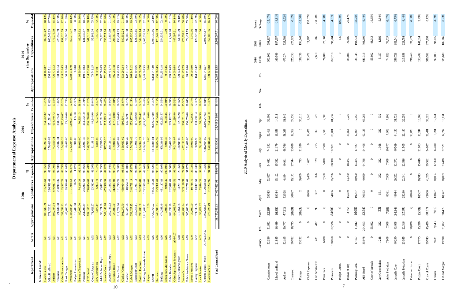|                | Microfilm Board<br>Commissioners | 52,336<br>21,885<br>January | 16,449<br>51,952<br>Feb. | 16,850<br>52397<br>March | 19,314<br>59,513<br>April | 15,122<br>52,857<br>May | 15,382<br>54,642<br>June | 21,179<br>74,192<br>July | 19,858<br>52,413<br>August | 52,602<br>14,511<br>Sept. | S. | Χoν. | ن<br>م | 160,549<br>502,902<br>Totals<br>2010 | 187,357<br>594,927<br>Totals<br>2009 | $-15.47%$<br>$-14.31%$<br><b>Of Change</b><br>Percent |
|----------------|----------------------------------|-----------------------------|--------------------------|--------------------------|---------------------------|-------------------------|--------------------------|--------------------------|----------------------------|---------------------------|----|------|--------|--------------------------------------|--------------------------------------|-------------------------------------------------------|
|                | Auditor                          | 52,195                      | 50,777                   | 47,212                   | 52,528                    | 48,884                  | 49,801                   | 68,766                   | 51,268                     | 51,842                    |    |      |        | 473,274                              | 525,393                              | -9.92%                                                |
|                | Treasurer                        | 30,782                      | 18,735                   | 20,091                   | 30,897                    | 19,171                  | 27,544                   | 33,888                   | 19,312                     | 24,733                    |    |      |        | 225,153                              | 227,025                              | $0.82\%$                                              |
|                | Postage                          | 33,252                      | $\circ$                  | 30,636                   | $\mathcal{L}$             | 30,000                  | 753                      | 31,286                   | $\circ$                    | 30,210                    |    |      |        | 156,139                              | 191,948                              | $-18.66%$                                             |
|                | CAFR Expenses                    | $\circ$                     | $\circ$                  | $\circ$                  | 8,690                     | 5,400                   | 1,667                    | $\circ$                  | 14,475                     | 2,240                     |    |      |        | 32,472                               | 13,697                               | 137.07%                                               |
|                | Card Service Fee                 | 431                         | 437                      | $\aleph$                 | 387                       | 326                     | 129                      | 215                      | 366                        | 223                       |    |      |        | 2,610                                | 786                                  | 231.90%                                               |
|                | <b>Bank Fees</b>                 | 6,080                       | $\circ$                  | $\circ$                  | $\circ$                   | 7,500                   | 5,000                    | 2,500                    | 2,500                      | 2,500                     |    |      |        | 26,080                               | 27,360                               | 4.68%                                                 |
|                | Prosecutor                       | 138,850                     | 82,526                   | 84,680                   | 94,086                    | 85,286                  | 88,380                   | 122,671                  | 80,001                     | 81,237                    |    |      |        | 857,718                              | 898,204                              | 4.51%                                                 |
| $\overline{7}$ | <b>Budget Comm</b>               | $\circ$                     | $\circ$                  | $\circ$                  | $\circ$                   | $\circ$                 | $\circ$                  | $\circ$                  | $\circ$                    | $\circ$                   |    |      |        | $\circ$                              | 136                                  | $-100.00%$                                            |
|                | Bureau of Insp                   | $\circ$                     | $\circ$                  | 3,757                    | 15,489                    | 13,290                  | 18,474                   | $\circ$                  | 26,854                     | 7,222                     |    |      |        | 85,086                               | $70,\!805$                           | 20.17%                                                |
|                | Planning Com.                    | 17,357                      | 11,042                   | 16,059                   | 19,257                    | 10,970                  | 14,415                   | 17,927                   | 12,068                     | 12,050                    |    |      |        | 131,145                              | 193,573                              | $-32.25%$                                             |
|                | ADP Board                        | 35,978                      | 204,613                  | 42,540                   | 70,593                    | 40,999                  | 64,796                   | 54,406                   | 62,128                     | 65,263                    |    |      |        | 641,316                              | 708,160                              | $-9.44%$                                              |
|                | Court of Appeals                 | $\circ$                     | 55,862                   | $\circ$                  | $\circ$                   | $\circ$                 | $\circ$                  | $\circ$                  | $\circ$                    | $\circ$                   |    |      |        | 55,862                               | 48,013                               | 16.35%                                                |
|                | Jury Commission                  | 1,248                       | 332                      | 332                      | 551                       | 332                     | 332                      | 1,368                    | 332                        | 332                       |    |      |        | 5,157                                | 4,895                                | 5.34%                                                 |
|                | Adult Probation                  | 7,908                       | 7,908                    | 7,908                    | 8,591                     | 7,908                   | 7,908                    | 10,877                   | 7,908                      | 7,908                     |    |      |        | 74,823                               | 76,719                               | $-2.47%$                                              |
|                | Juvenile Court                   | 46,290                      | 43,808                   | 34,546                   | 48,014                    | 29,252                  | 32,372                   | 46,569                   | 44,150                     | 31,728                    |    |      |        | 356,728                              | 382,541                              | -6.75%                                                |
|                | Juvenile Probation               | 23,055                      | 22,316                   | 22,388                   | 25,230                    | 22,341                  | 22,586                   | 31,505                   | 22,180                     | 22,256                    |    |      |        | 213,858                              | 223,784                              | 4.44%                                                 |
|                | Detention Home                   | $\circ$                     | 98,820                   | $\circ$                  | 98,820                    | $\circ$                 | $\circ$                  | $\circ$                  | $98,\!820$                 | 0                         |    |      |        | 296,460                              | 328,229                              | -9.68%                                                |
|                | Probate Court                    | 17,775                      | 15,286                   | 15,792                   | 18,567                    | 16,913                  | 15,040                   | 21,803                   | 16,247                     | 16,068                    |    |      |        | 153,492                              | 148,314                              | 3.49%                                                 |
|                | Clerk of Courts                  | 39,743                      | 45,420                   | 38,271                   | 43,666                    | 41,265                  | 39,562                   | 54,807                   | 39,491                     | 38,328                    |    |      |        | 380,552                              | 377,838                              | 0.72%                                                 |
|                | Coroner                          | 9,431                       | 9,543                    | 7,015                    | 13,877                    | 10,034                  | 12,360                   | 14,400                   | 8,201                      | 12,141                    |    |      |        | 97,003                               | 98,075                               | $-1.09%$                                              |
|                | Lab and Morgue                   | 19,990                      | 21,812                   | 20,475                   | 18,377                    | 18,089                  | 23,438                   | 27,521                   | 17,797                     | 18,131                    |    |      |        | 185,630                              | 186,066                              | $-0.23%$                                              |

# 2010 Analysis of Monthly Expenditures 2010 Analysis of Monthly Expenditures

 $\sim$ 

|                             |                  |                       | 2008                       |          |                | 2009                  |          |                | 2010                |          |
|-----------------------------|------------------|-----------------------|----------------------------|----------|----------------|-----------------------|----------|----------------|---------------------|----------|
|                             | Acct #           |                       |                            | ళ        |                |                       | $\aleph$ |                | thru September      | ℅        |
| Department                  |                  | <b>Appropriations</b> | Expenditures               | Expended | Appropriations | Expenditures Expended |          | Appropriations | <b>Expenditures</b> | Expended |
| General Fund:               |                  |                       |                            |          |                |                       |          |                |                     |          |
| Commissioner                | Ę                | 805,585.39            | 755,275.60                 | 93.75%   | 841, 207.43    | 784,702.32            | 93.28%   | 738, 168.87    | 502,902.42          | 58.13%   |
| Microfilm Board             | A01              | 271,220.91            | 226,538.44                 | 83.53%   | 276,410.83     | 251,581.61            | 91.02%   | 236, 835.11    | 160,549.23          | 67.79%   |
| Auditor                     | A <sub>01</sub>  | 699, 107.94           | 676,017.10                 | 96.70%   | 742,510.31     | 694,440.72            | 93.53%   | 726, 47 2.12   | 473,273.79          | 65.15%   |
| Treasurer                   | A01              | 321,637.08            | 298,903.35                 | 92.93%   | 329, 342.31    | 308,995.31            | 93.82%   | 333, 160.14    | 225,152.59          | 67.58%   |
| Other Finance Admin.        | A <sub>01</sub>  | 197,749.23            | 165,567.76<br>39,520.00    | 83.73%   | 254,939.23     | 217,216.07            | 85.20%   | 218,038.43     | 191,220.59          | 87.70%   |
| <b>Bank Charges</b>         | A01              | 43,600.00             |                            | 90.64%   | 40,400.00      | 33,440.00             | 82.77%   | 36,280.00      | 26,080.00           | 71.89%   |
| Prosecutor                  | A01              | 1,185,507.14          | 1,101,038.54               | 92.87%   | 1,282,244.04   | 1,180,291.95          | 92.05%   | 1,259,031.79   | 857,717.97          | 68.13%   |
| <b>Budget Commission</b>    | ΚΟΙ              | 18,400.00             | 196.25                     | 1.07%    | 300.00         | 135.98                | 45.33%   | 300.00         | 0.00                | 0.00%    |
| <b>Bureau of Inspection</b> | A <sub>01</sub>  | 80,000.00             | 74,248.39                  | 92.81%   | 80,000.00      | 70,805.13             | 88.51%   | 86,500.00      | 85,085.62           | 98.36%   |
| Planning                    | <b>RA</b>        | 261, 295.49           | 255,959.68                 | 97.96%   | 276,901.45     | 264,992.10            | 95.70%   | 190, 318.03    | 131, 145.47         | 68.91%   |
| ADP Board                   | <b>AO1</b>       | 834, 165.31           | 746,024.60                 | 89.43%   | 948,769.39     | 866,066.68            | 91.28%   | 914,030.50     | 641,316.28          | 70.16%   |
| Court of Appeals            | A02              | 71,629.27             | 63,312.00                  | 88.39%   | 61,148.15      | 48,944.90             | 80.04%   | 73,748.15      | 55,862.08           | 75.75%   |
| <b>Jury Commission</b>      | A02              | 8,872.19              | 6,953.19                   | 78.37%   | 8,818.07       | 6,927.65              | 78.56%   | 9,900.91       | 5,156.66            | 52.08%   |
| Adult Probation Dept.       | A02              | 96,121.80             | 95,881.25                  | 99.75%   | 103,206.79     | 102,661.20            | 99.47%   | 102,562.63     | 74,823.00           | 72.95%   |
| Juvenile Court              | A <sub>02</sub>  | 542, 148.28           | 455,508.99                 | 84.02%   | 587,740.20     | 507,993.41            | 86.43%   | 571, 152.24    | 356,727.84          | 62.46%   |
| Juvenile Probation Dept.    | A02              | 280, 148.22           | 271,843.56                 | 97.04%   | 310, 126.10    | 300,781.57            | 96.99%   | 299, 452.74    | 213,857.59          | 71.42%   |
| Detention Home<br>10        | A02              | 325,000.00            | 312,880.00                 | 96.27%   | 439,000.00     | 437,638.00            | 99.69%   | 395,280.18     | 296,460.00          | 75.00%   |
| Probate Court               | A02              | 217,722.86            | 161,719.76                 | 74.28%   | 234,875.02     | 202,846.49            | 86.36%   | 220,496.39     | 153,491.73          | 69.61%   |
| Clerk of Courts             | A02              | 501,279.70            | 469,094.59                 | 93.58%   | 539,683.62     | 516,304.11            | 95.67%   | 533,299.34     | 380,552.24          | 71.36%   |
| Coroner                     | A02              | 163,470.28            | 140,584.17                 | 86.00%   | 145,980.47     | 126,562.91            | 86.70%   | 142,015.72     | 97,002.98           | 68.30%   |
| Lab & Morgue                | A02              | 259, 227.15           | 248,768.19                 | 95.97%   | 274,749.48     | 253, 177.36           | 92.15%   | 266,945.12     | 185,630.19          | 69.54%   |
| Municipal Court             | A02              | 156,218.11            | 151,051.12                 | 96.69%   | 171,906.79     | 167,508.68            | 97.44%   | 165,800.66     | 121,538.15          | 73.30%   |
| <b>Board of Elections</b>   | A03              | 996,693.30            | 922,085.80                 | 92.51%   | 884, 362.74    | 729,565.42            | 82.50%   | 907,586.28     | 542,887.14          | 59.82%   |
| Building & Grounds Maint    | A04              | 2,610,684.71          | 1,792,555.84               | 68.66%   | 2,620,544.70   | 1,845,271.56          | 70.42%   | 2,445,007.35   | 1,405,333.74        | 57.48%   |
| Airport                     | A05              | 0.00                  | 0.00                       | 0.00%    | 0.00           | 0.00                  | 0.00%    | 0.00           | 0.00                | 0.00%    |
| Sheriff                     | A06              | 9,422,767.22          | 9,095, 156.23              | 96.52%   | 9,838,895.81   | 9,376,727.89          | 95.30%   | 9,158,947.49   | 6,603,339.66        | 72.10%   |
| Recorder                    | A06              | 240,900.63            | 229,361.69                 | 95.21%   | 260,624.92     | 234,994.66            | 90.17%   | 256,068.45     | 173,047.03          | 67.58%   |
| <b>Building</b>             | A06              | 474,343.49            | 431,117.83                 | 90.89%   | 478,336.95     | 452,253.87            | 94.55%   | 351,554.18     | 254,536.01          | 72.40%   |
| Emergency Mgt Grants        | A06              | 9,998.45              | 9,998.45                   | .00.00%  | 9,998.45       | 9,998.45              | .00.00%  | 9,998.45       | 0.00                | 0.00%    |
| Public Defender             | A06              | 289, 233.28           |                            | 97.50%   | 309,400.35     | 299, 192.72           | 96.70%   | 299, 874.69    | 214,744.28          | 71.61%   |
| Other Agriculture Programs  | A06/A07          | 494,803.74            | 493,618.52<br>83,275.14    | 99.76%   | 543,706.07     | 541,396.80            | 99.58%   | 519,009.68     | 447,097.31          | 86.14%   |
| Other Health Programs       | $\overline{A}08$ | 316,054.98            |                            | 26.35%   | 318,949.02     | 62,396.28             | 19.56%   | 320, 641.75    | 61,509.79           | 19.18%   |
| Veteran's                   | A09              | 462,650.94            | 333, 128.33<br>102, 759.00 | 72.00%   | 477, 152.25    | 360, 371.13           | 75.53%   | 491,479.29     | 276,194.91          | 56.20%   |
| Public Assistance Grants    | $\lambda09$      | 105,000.00            |                            | 97.87%   | 101,000.00     | 100,055.00            | 99.06%   | 99,229.00      | 74,421.75           | 75.00%   |
| Sewer Transfers             | A10              | 30,000.00             | 10,716.75<br>143,305.50    | 35.72%   | 30,000.00      | 6,229.87              | 20.77%   | 30,000.00      | 3,349.36            | 11.16%   |
| County Engineer             | A12              | 171,136.56            |                            | 83.74%   | 198,916.98     | 183,718.14            | 92.36%   | 164,798.42     | 120, 125.48         | 72.89%   |
| Law Libraries               | A13              | 53,822.32             | 53,814.20                  | 99.98%   | 58, 149.98     | 58,090.39             | 99.90%   | 0.00           | 0.00                | 0.00%    |
| Commissioners - Misc.       | A14/A15/A17      | 7,962,635.67          | 6,190,568.53               | 77.75%   | 4,862,664.89   | 3,356,247.63          | 69.02%   | 4,681,746.57   | 2,598,464.87        | 55.50%   |
| Common Pleas                | A21              | 776, 223.49           | 737,262.95                 | 94.98%   | 840, 346.47    | 784,724.10            | 93.38%   | 839,620.88     | 557,609.96          | 66.41%   |
| <b>Total General Fund</b>   |                  | 31,757,055.13         | 27,627,622.98              | 86.997%  | 29,783,309.26  | 25,745,248.06         | 86.44%   | 28,095,351.55  | 18,568,207.7        | 66.09%   |
|                             |                  |                       |                            |          |                |                       |          |                |                     |          |

| vsıs<br>ç     |  |
|---------------|--|
| vnense        |  |
| ican<br>icure |  |
|               |  |

 $\sim 10^{11}$